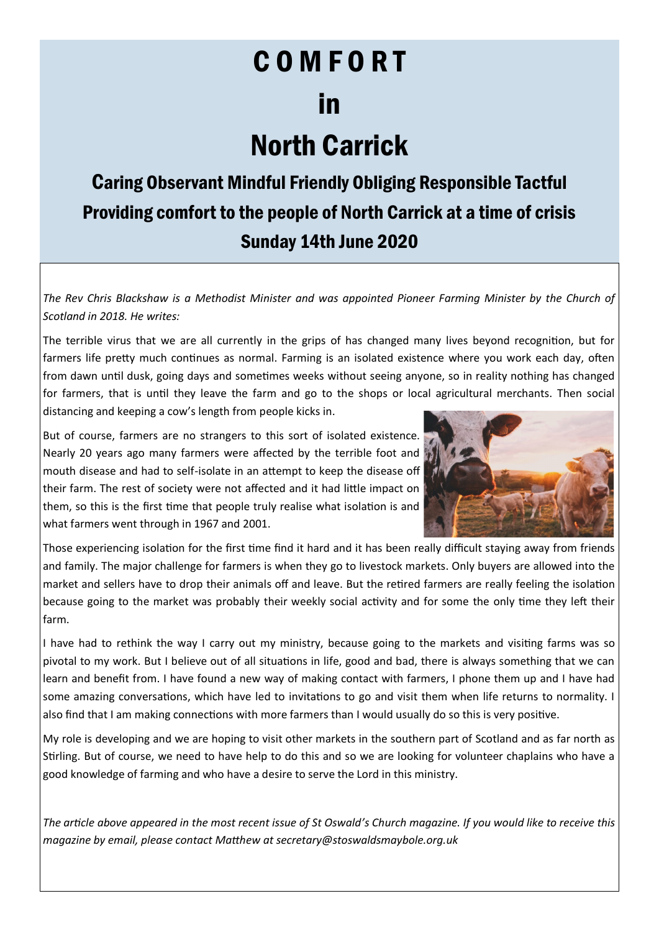# C O M F O R T

### in

## North Carrick

### Caring Observant Mindful Friendly Obliging Responsible Tactful Providing comfort to the people of North Carrick at a time of crisis Sunday 14th June 2020

*The Rev Chris Blackshaw is a Methodist Minister and was appointed Pioneer Farming Minister by the Church of Scotland in 2018. He writes:*

The terrible virus that we are all currently in the grips of has changed many lives beyond recognition, but for farmers life pretty much continues as normal. Farming is an isolated existence where you work each day, often from dawn until dusk, going days and sometimes weeks without seeing anyone, so in reality nothing has changed for farmers, that is until they leave the farm and go to the shops or local agricultural merchants. Then social distancing and keeping a cow's length from people kicks in.

But of course, farmers are no strangers to this sort of isolated existence. Nearly 20 years ago many farmers were affected by the terrible foot and mouth disease and had to self-isolate in an attempt to keep the disease off their farm. The rest of society were not affected and it had little impact on them, so this is the first time that people truly realise what isolation is and what farmers went through in 1967 and 2001.



Those experiencing isolation for the first time find it hard and it has been really difficult staying away from friends and family. The major challenge for farmers is when they go to livestock markets. Only buyers are allowed into the market and sellers have to drop their animals off and leave. But the retired farmers are really feeling the isolation because going to the market was probably their weekly social activity and for some the only time they left their farm.

I have had to rethink the way I carry out my ministry, because going to the markets and visiting farms was so pivotal to my work. But I believe out of all situations in life, good and bad, there is always something that we can learn and benefit from. I have found a new way of making contact with farmers, I phone them up and I have had some amazing conversations, which have led to invitations to go and visit them when life returns to normality. I also find that I am making connections with more farmers than I would usually do so this is very positive.

My role is developing and we are hoping to visit other markets in the southern part of Scotland and as far north as Stirling. But of course, we need to have help to do this and so we are looking for volunteer chaplains who have a good knowledge of farming and who have a desire to serve the Lord in this ministry.

*The article above appeared in the most recent issue of St Oswald's Church magazine. If you would like to receive this magazine by email, please contact Matthew at secretary@stoswaldsmaybole.org.uk*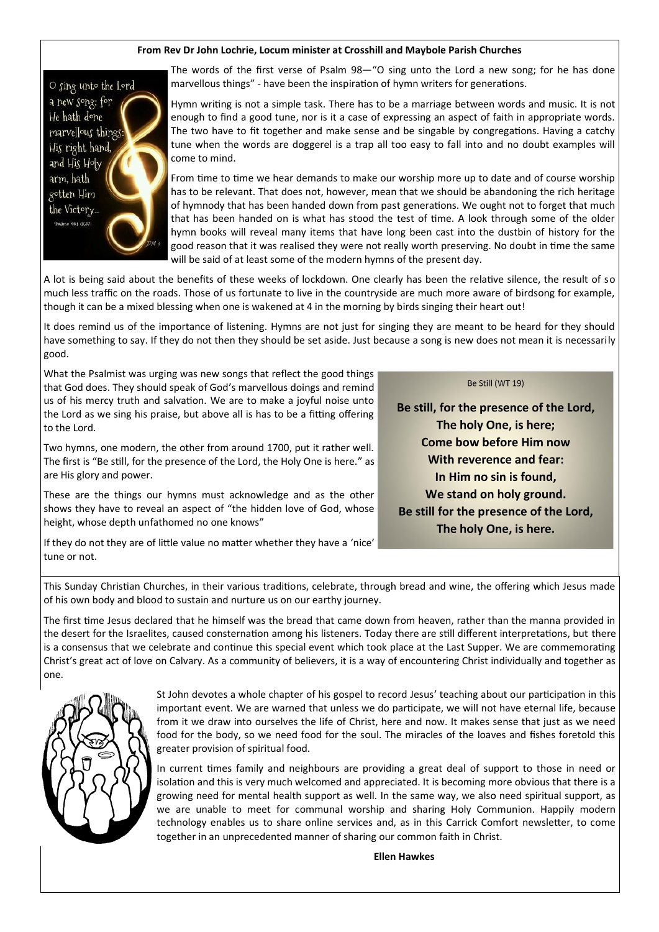#### **From Rev Dr John Lochrie, Locum minister at Crosshill and Maybole Parish Churches**



The words of the first verse of Psalm 98—"O sing unto the Lord a new song; for he has done marvellous things" - have been the inspiration of hymn writers for generations.

Hymn writing is not a simple task. There has to be a marriage between words and music. It is not enough to find a good tune, nor is it a case of expressing an aspect of faith in appropriate words. The two have to fit together and make sense and be singable by congregations. Having a catchy tune when the words are doggerel is a trap all too easy to fall into and no doubt examples will come to mind.

From time to time we hear demands to make our worship more up to date and of course worship has to be relevant. That does not, however, mean that we should be abandoning the rich heritage of hymnody that has been handed down from past generations. We ought not to forget that much that has been handed on is what has stood the test of time. A look through some of the older hymn books will reveal many items that have long been cast into the dustbin of history for the good reason that it was realised they were not really worth preserving. No doubt in time the same will be said of at least some of the modern hymns of the present day.

A lot is being said about the benefits of these weeks of lockdown. One clearly has been the relative silence, the result of so much less traffic on the roads. Those of us fortunate to live in the countryside are much more aware of birdsong for example, though it can be a mixed blessing when one is wakened at 4 in the morning by birds singing their heart out!

It does remind us of the importance of listening. Hymns are not just for singing they are meant to be heard for they should have something to say. If they do not then they should be set aside. Just because a song is new does not mean it is necessarily good.

What the Psalmist was urging was new songs that reflect the good things that God does. They should speak of God's marvellous doings and remind us of his mercy truth and salvation. We are to make a joyful noise unto the Lord as we sing his praise, but above all is has to be a fitting offering to the Lord.

Two hymns, one modern, the other from around 1700, put it rather well. The first is "Be still, for the presence of the Lord, the Holy One is here." as are His glory and power.

These are the things our hymns must acknowledge and as the other shows they have to reveal an aspect of "the hidden love of God, whose height, whose depth unfathomed no one knows"

If they do not they are of little value no matter whether they have a 'nice' tune or not.

#### Be Still (WT 19)

Be still, for the presence of the Lord. The holy One, is here: **Come bow before Him now** With reverence and fear: In Him no sin is found, We stand on holy ground. Be still for the presence of the Lord, The holy One, is here.

This Sunday Christian Churches, in their various traditions, celebrate, through bread and wine, the offering which Jesus made of his own body and blood to sustain and nurture us on our earthy journey.

The first time Jesus declared that he himself was the bread that came down from heaven, rather than the manna provided in the desert for the Israelites, caused consternation among his listeners. Today there are still different interpretations, but there is a consensus that we celebrate and continue this special event which took place at the Last Supper. We are commemorating Christ's great act of love on Calvary. As a community of believers, it is a way of encountering Christ individually and together as one.



St John devotes a whole chapter of his gospel to record Jesus' teaching about our participation in this important event. We are warned that unless we do participate, we will not have eternal life, because from it we draw into ourselves the life of Christ, here and now. It makes sense that just as we need food for the body, so we need food for the soul. The miracles of the loaves and fishes foretold this greater provision of spiritual food.

In current times family and neighbours are providing a great deal of support to those in need or isolation and this is very much welcomed and appreciated. It is becoming more obvious that there is a growing need for mental health support as well. In the same way, we also need spiritual support, as we are unable to meet for communal worship and sharing Holy Communion. Happily modern technology enables us to share online services and, as in this Carrick Comfort newsletter, to come together in an unprecedented manner of sharing our common faith in Christ.

**Ellen Hawkes**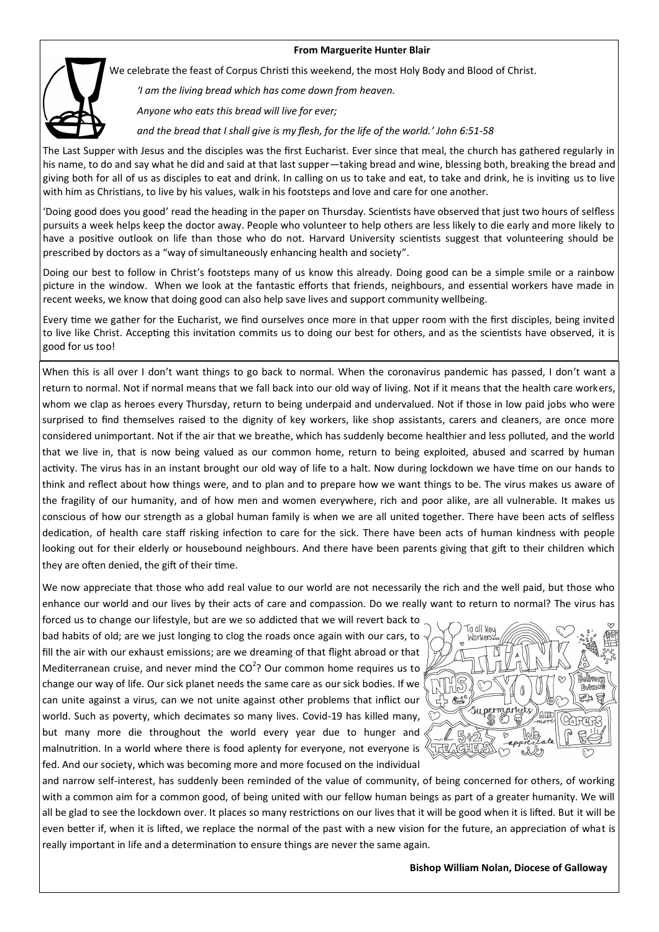#### **From Marguerite Hunter Blair**



We celebrate the feast of Corpus Christi this weekend, the most Holy Body and Blood of Christ.

*'I am the living bread which has come down from heaven.*

*Anyone who eats this bread will live for ever;*

*and the bread that I shall give is my flesh, for the life of the world.' John 6:51-58*

The Last Supper with Jesus and the disciples was the first Eucharist. Ever since that meal, the church has gathered regularly in his name, to do and say what he did and said at that last supper—taking bread and wine, blessing both, breaking the bread and giving both for all of us as disciples to eat and drink. In calling on us to take and eat, to take and drink, he is inviting us to live with him as Christians, to live by his values, walk in his footsteps and love and care for one another.

'Doing good does you good' read the heading in the paper on Thursday. Scientists have observed that just two hours of selfless pursuits a week helps keep the doctor away. People who volunteer to help others are less likely to die early and more likely to have a positive outlook on life than those who do not. Harvard University scientists suggest that volunteering should be prescribed by doctors as a "way of simultaneously enhancing health and society".

Doing our best to follow in Christ's footsteps many of us know this already. Doing good can be a simple smile or a rainbow picture in the window. When we look at the fantastic efforts that friends, neighbours, and essential workers have made in recent weeks, we know that doing good can also help save lives and support community wellbeing.

Every time we gather for the Eucharist, we find ourselves once more in that upper room with the first disciples, being invited to live like Christ. Accepting this invitation commits us to doing our best for others, and as the scientists have observed, it is good for us too!

When this is all over I don't want things to go back to normal. When the coronavirus pandemic has passed, I don't want a return to normal. Not if normal means that we fall back into our old way of living. Not if it means that the health care workers, whom we clap as heroes every Thursday, return to being underpaid and undervalued. Not if those in low paid jobs who were surprised to find themselves raised to the dignity of key workers, like shop assistants, carers and cleaners, are once more considered unimportant. Not if the air that we breathe, which has suddenly become healthier and less polluted, and the world that we live in, that is now being valued as our common home, return to being exploited, abused and scarred by human activity. The virus has in an instant brought our old way of life to a halt. Now during lockdown we have time on our hands to think and reflect about how things were, and to plan and to prepare how we want things to be. The virus makes us aware of the fragility of our humanity, and of how men and women everywhere, rich and poor alike, are all vulnerable. It makes us conscious of how our strength as a global human family is when we are all united together. There have been acts of selfless dedication, of health care staff risking infection to care for the sick. There have been acts of human kindness with people looking out for their elderly or housebound neighbours. And there have been parents giving that gift to their children which they are often denied, the gift of their time.

We now appreciate that those who add real value to our world are not necessarily the rich and the well paid, but those who enhance our world and our lives by their acts of care and compassion. Do we really want to return to normal? The virus has

forced us to change our lifestyle, but are we so addicted that we will revert back to bad habits of old; are we just longing to clog the roads once again with our cars, to fill the air with our exhaust emissions; are we dreaming of that flight abroad or that Mediterranean cruise, and never mind the  $CO<sup>2</sup>$ ? Our common home requires us to change our way of life. Our sick planet needs the same care as our sick bodies. If we can unite against a virus, can we not unite against other problems that inflict our world. Such as poverty, which decimates so many lives. Covid-19 has killed many, but many more die throughout the world every year due to hunger and malnutrition. In a world where there is food aplenty for everyone, not everyone is fed. And our society, which was becoming more and more focused on the individual



and narrow self-interest, has suddenly been reminded of the value of community, of being concerned for others, of working with a common aim for a common good, of being united with our fellow human beings as part of a greater humanity. We will all be glad to see the lockdown over. It places so many restrictions on our lives that it will be good when it is lifted. But it will be even better if, when it is lifted, we replace the normal of the past with a new vision for the future, an appreciation of what is really important in life and a determination to ensure things are never the same again.

 **Bishop William Nolan, Diocese of Galloway**